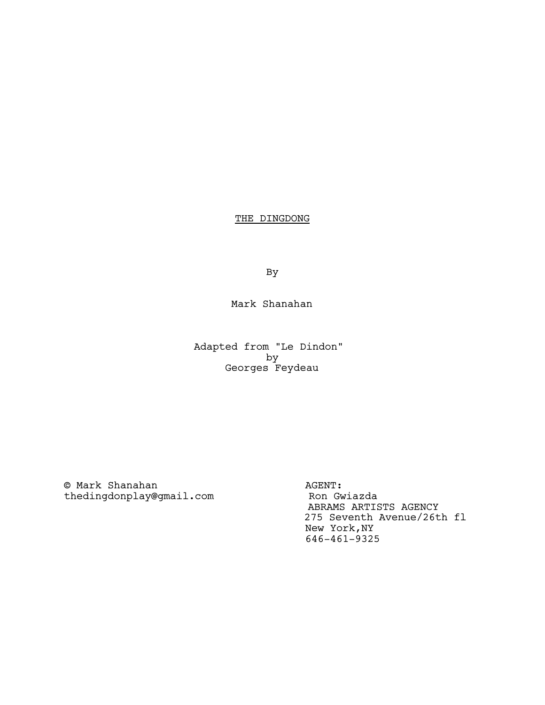# THE DINGDONG

By

# Mark Shanahan

Adapted from "Le Dindon" by Georges Feydeau

© Mark Shanahan<br>
thedingdonplay@gmail.com Ron Gwiazda thedingdonplay@gmail.com

 ABRAMS ARTISTS AGENCY 275 Seventh Avenue/26th fl New York,NY 646-461-9325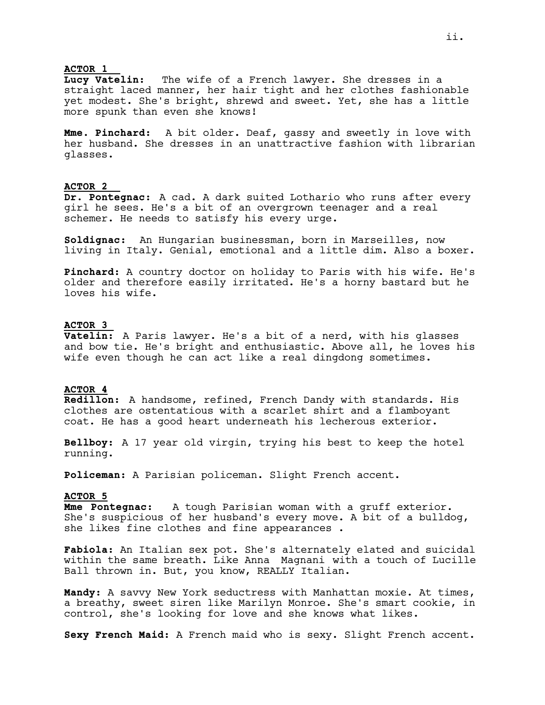#### **ACTOR 1**

**Lucy Vatelin:** The wife of a French lawyer. She dresses in a straight laced manner, her hair tight and her clothes fashionable yet modest. She's bright, shrewd and sweet. Yet, she has a little more spunk than even she knows!

**Mme. Pinchard:** A bit older. Deaf, gassy and sweetly in love with her husband. She dresses in an unattractive fashion with librarian glasses.

## **ACTOR 2**

**Dr. Pontegnac:** A cad. A dark suited Lothario who runs after every girl he sees. He's a bit of an overgrown teenager and a real schemer. He needs to satisfy his every urge.

**Soldignac:** An Hungarian businessman, born in Marseilles, now living in Italy. Genial, emotional and a little dim. Also a boxer.

**Pinchard:** A country doctor on holiday to Paris with his wife. He's older and therefore easily irritated. He's a horny bastard but he loves his wife.

## **ACTOR 3**

**Vatelin:** A Paris lawyer. He's a bit of a nerd, with his glasses and bow tie. He's bright and enthusiastic. Above all, he loves his wife even though he can act like a real dingdong sometimes.

# **ACTOR 4**

**Redillon:** A handsome, refined, French Dandy with standards. His clothes are ostentatious with a scarlet shirt and a flamboyant coat. He has a good heart underneath his lecherous exterior.

**Bellboy:** A 17 year old virgin, trying his best to keep the hotel running.

**Policeman:** A Parisian policeman. Slight French accent.

#### **ACTOR 5**

**Mme Pontegnac:** A tough Parisian woman with a gruff exterior. She's suspicious of her husband's every move. A bit of a bulldog, she likes fine clothes and fine appearances .

**Fabiola:** An Italian sex pot. She's alternately elated and suicidal within the same breath. Like Anna Magnani with a touch of Lucille Ball thrown in. But, you know, REALLY Italian.

**Mandy:** A savvy New York seductress with Manhattan moxie. At times, a breathy, sweet siren like Marilyn Monroe. She's smart cookie, in control, she's looking for love and she knows what likes.

**Sexy French Maid:** A French maid who is sexy. Slight French accent.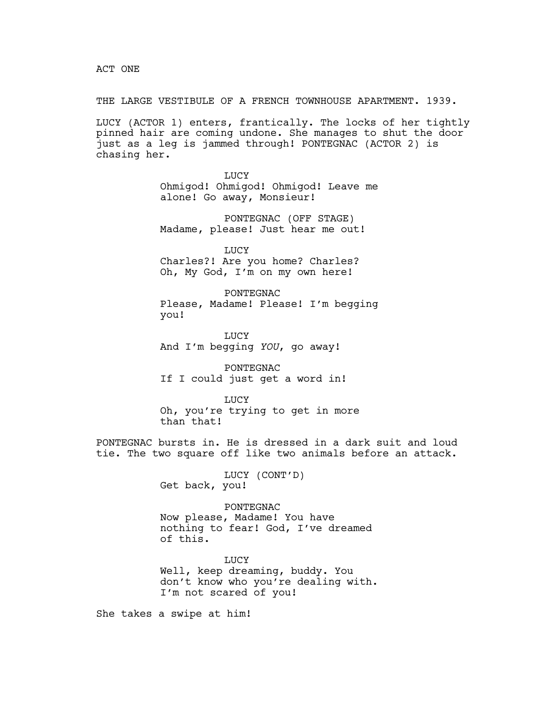ACT ONE

THE LARGE VESTIBULE OF A FRENCH TOWNHOUSE APARTMENT. 1939.

LUCY (ACTOR 1) enters, frantically. The locks of her tightly pinned hair are coming undone. She manages to shut the door just as a leg is jammed through! PONTEGNAC (ACTOR 2) is chasing her.

> LUCY Ohmigod! Ohmigod! Ohmigod! Leave me alone! Go away, Monsieur!

PONTEGNAC (OFF STAGE) Madame, please! Just hear me out!

LUCY

Charles?! Are you home? Charles? Oh, My God, I'm on my own here!

PONTEGNAC Please, Madame! Please! I'm begging you!

LUCY And I'm begging *YOU*, go away!

PONTEGNAC If I could just get a word in!

LUCY Oh, you're trying to get in more than that!

PONTEGNAC bursts in. He is dressed in a dark suit and loud tie. The two square off like two animals before an attack.

> LUCY (CONT'D) Get back, you!

PONTEGNAC Now please, Madame! You have nothing to fear! God, I've dreamed of this.

**TJUCY** Well, keep dreaming, buddy. You don't know who you're dealing with. I'm not scared of you!

She takes a swipe at him!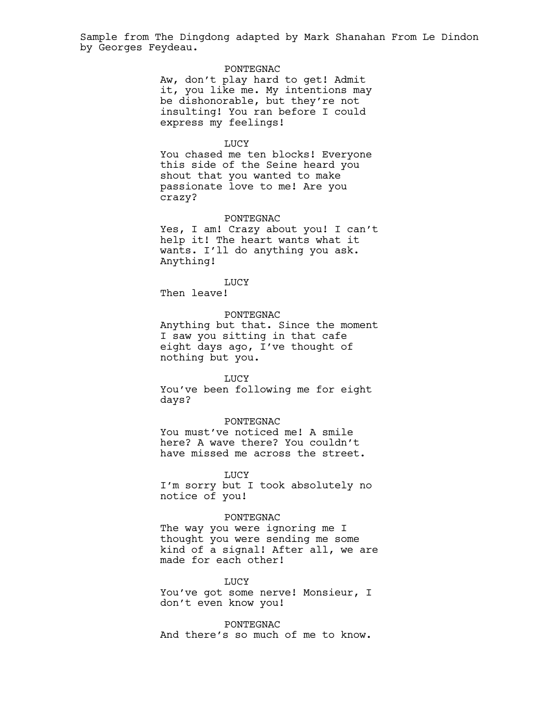# PONTEGNAC

Aw, don't play hard to get! Admit it, you like me. My intentions may be dishonorable, but they're not insulting! You ran before I could express my feelings!

#### LUCY

You chased me ten blocks! Everyone this side of the Seine heard you shout that you wanted to make passionate love to me! Are you crazy?

#### PONTEGNAC

Yes, I am! Crazy about you! I can't help it! The heart wants what it wants. I'll do anything you ask. Anything!

LUCY

Then leave!

# PONTEGNAC

Anything but that. Since the moment I saw you sitting in that cafe eight days ago, I've thought of nothing but you.

#### LUCY

You've been following me for eight days?

### PONTEGNAC

You must've noticed me! A smile here? A wave there? You couldn't have missed me across the street.

#### LUCY

I'm sorry but I took absolutely no notice of you!

### PONTEGNAC

The way you were ignoring me I thought you were sending me some kind of a signal! After all, we are made for each other!

## LUCY

You've got some nerve! Monsieur, I don't even know you!

PONTEGNAC And there's so much of me to know.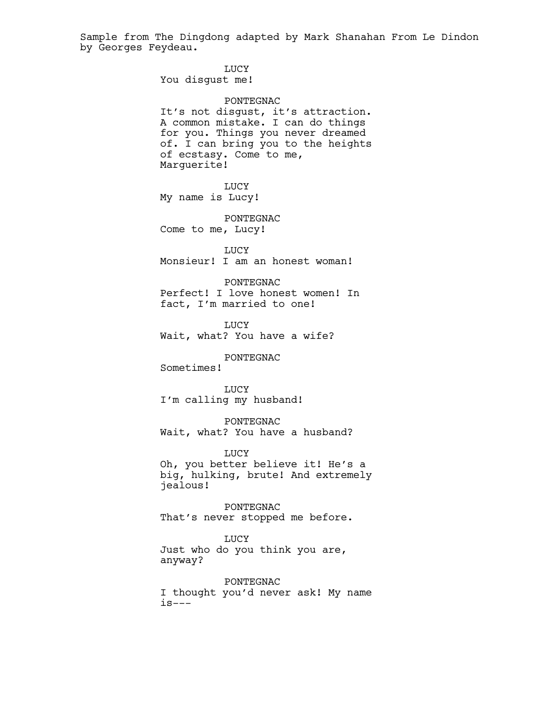> LUCY You disgust me!

PONTEGNAC It's not disgust, it's attraction. A common mistake. I can do things for you. Things you never dreamed of. I can bring you to the heights of ecstasy. Come to me, Marguerite!

LUCY My name is Lucy!

PONTEGNAC Come to me, Lucy!

LUCY Monsieur! I am an honest woman!

PONTEGNAC Perfect! I love honest women! In fact, I'm married to one!

**LUCY** Wait, what? You have a wife?

# PONTEGNAC

Sometimes!

**LUCY** I'm calling my husband!

PONTEGNAC Wait, what? You have a husband?

LUCY Oh, you better believe it! He's a big, hulking, brute! And extremely jealous!

PONTEGNAC That's never stopped me before.

**LUCY** 

Just who do you think you are, anyway?

PONTEGNAC I thought you'd never ask! My name is---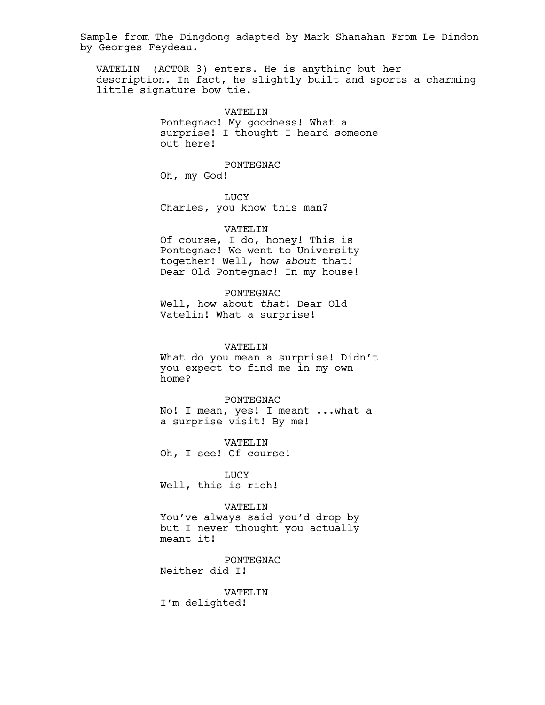VATELIN (ACTOR 3) enters. He is anything but her description. In fact, he slightly built and sports a charming little signature bow tie.

> VATELIN Pontegnac! My goodness! What a surprise! I thought I heard someone out here!

> > PONTEGNAC

Oh, my God!

LUCY Charles, you know this man?

### VATELIN

Of course, I do, honey! This is Pontegnac! We went to University together! Well, how *about* that! Dear Old Pontegnac! In my house!

PONTEGNAC

Well, how about *that*! Dear Old Vatelin! What a surprise!

#### VATELIN

What do you mean a surprise! Didn't you expect to find me in my own home?

PONTEGNAC No! I mean, yes! I meant ...what a a surprise visit! By me!

VATELIN Oh, I see! Of course!

LUCY Well, this is rich!

# VATELIN

You've always said you'd drop by but I never thought you actually meant it!

PONTEGNAC Neither did I!

VATELIN I'm delighted!